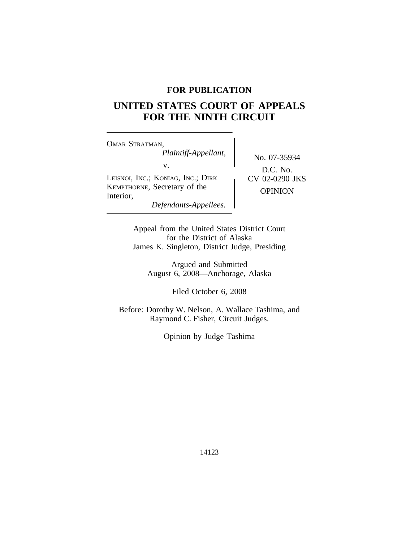# **FOR PUBLICATION**

# **UNITED STATES COURT OF APPEALS FOR THE NINTH CIRCUIT**

<sup>O</sup>MAR STRATMAN, *Plaintiff-Appellant,* No. 07-35934 v. LEISNOI, INC.; KONIAG, INC.; DIRK CV 02-0290 JKS KEMPTHORNE, Secretary of the OPINION Interior, *Defendants-Appellees.*

D.C. No.

Appeal from the United States District Court for the District of Alaska James K. Singleton, District Judge, Presiding

Argued and Submitted August 6, 2008—Anchorage, Alaska

Filed October 6, 2008

Before: Dorothy W. Nelson, A. Wallace Tashima, and Raymond C. Fisher, Circuit Judges.

Opinion by Judge Tashima

14123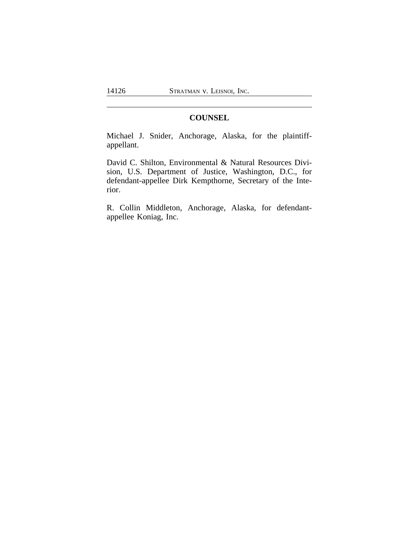# **COUNSEL**

Michael J. Snider, Anchorage, Alaska, for the plaintiffappellant.

David C. Shilton, Environmental & Natural Resources Division, U.S. Department of Justice, Washington, D.C., for defendant-appellee Dirk Kempthorne, Secretary of the Interior.

R. Collin Middleton, Anchorage, Alaska, for defendantappellee Koniag, Inc.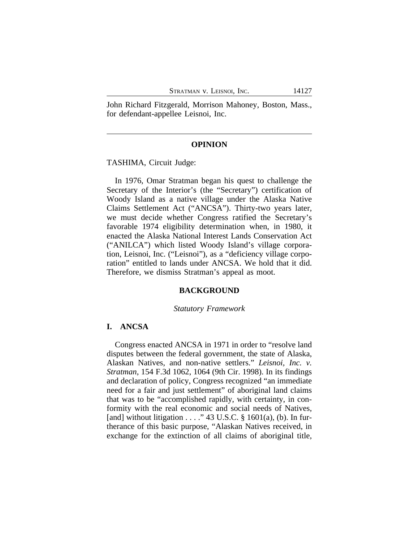John Richard Fitzgerald, Morrison Mahoney, Boston, Mass., for defendant-appellee Leisnoi, Inc.

## **OPINION**

TASHIMA, Circuit Judge:

In 1976, Omar Stratman began his quest to challenge the Secretary of the Interior's (the "Secretary") certification of Woody Island as a native village under the Alaska Native Claims Settlement Act ("ANCSA"). Thirty-two years later, we must decide whether Congress ratified the Secretary's favorable 1974 eligibility determination when, in 1980, it enacted the Alaska National Interest Lands Conservation Act ("ANILCA") which listed Woody Island's village corporation, Leisnoi, Inc. ("Leisnoi"), as a "deficiency village corporation" entitled to lands under ANCSA. We hold that it did. Therefore, we dismiss Stratman's appeal as moot.

# **BACKGROUND**

#### *Statutory Framework*

# **I. ANCSA**

Congress enacted ANCSA in 1971 in order to "resolve land disputes between the federal government, the state of Alaska, Alaskan Natives, and non-native settlers." *Leisnoi, Inc. v. Stratman*, 154 F.3d 1062, 1064 (9th Cir. 1998). In its findings and declaration of policy, Congress recognized "an immediate need for a fair and just settlement" of aboriginal land claims that was to be "accomplished rapidly, with certainty, in conformity with the real economic and social needs of Natives, [and] without litigation . . . . " 43 U.S.C.  $\S$  1601(a), (b). In furtherance of this basic purpose, "Alaskan Natives received, in exchange for the extinction of all claims of aboriginal title,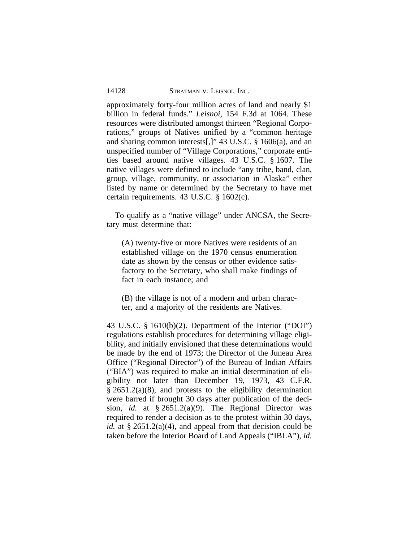approximately forty-four million acres of land and nearly \$1 billion in federal funds." *Leisnoi*, 154 F.3d at 1064. These resources were distributed amongst thirteen "Regional Corporations," groups of Natives unified by a "common heritage and sharing common interests[,]" 43 U.S.C. § 1606(a), and an unspecified number of "Village Corporations," corporate entities based around native villages. 43 U.S.C. § 1607. The native villages were defined to include "any tribe, band, clan, group, village, community, or association in Alaska" either listed by name or determined by the Secretary to have met certain requirements. 43 U.S.C. § 1602(c).

To qualify as a "native village" under ANCSA, the Secretary must determine that:

(A) twenty-five or more Natives were residents of an established village on the 1970 census enumeration date as shown by the census or other evidence satisfactory to the Secretary, who shall make findings of fact in each instance; and

(B) the village is not of a modern and urban character, and a majority of the residents are Natives.

43 U.S.C. § 1610(b)(2). Department of the Interior ("DOI") regulations establish procedures for determining village eligibility, and initially envisioned that these determinations would be made by the end of 1973; the Director of the Juneau Area Office ("Regional Director") of the Bureau of Indian Affairs ("BIA") was required to make an initial determination of eligibility not later than December 19, 1973, 43 C.F.R. § 2651.2(a)(8), and protests to the eligibility determination were barred if brought 30 days after publication of the decision, *id.* at § 2651.2(a)(9). The Regional Director was required to render a decision as to the protest within 30 days, *id.* at § 2651.2(a)(4), and appeal from that decision could be taken before the Interior Board of Land Appeals ("IBLA"), *id.*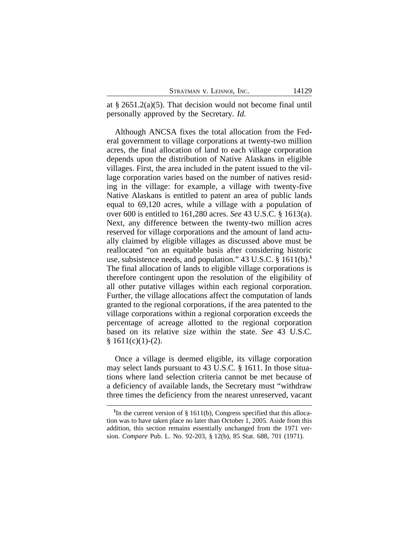at § 2651.2(a)(5). That decision would not become final until personally approved by the Secretary. *Id.*

Although ANCSA fixes the total allocation from the Federal government to village corporations at twenty-two million acres, the final allocation of land to each village corporation depends upon the distribution of Native Alaskans in eligible villages. First, the area included in the patent issued to the village corporation varies based on the number of natives residing in the village: for example, a village with twenty-five Native Alaskans is entitled to patent an area of public lands equal to 69,120 acres, while a village with a population of over 600 is entitled to 161,280 acres. *See* 43 U.S.C. § 1613(a). Next, any difference between the twenty-two million acres reserved for village corporations and the amount of land actually claimed by eligible villages as discussed above must be reallocated "on an equitable basis after considering historic use, subsistence needs, and population." 43 U.S.C. § 1611(b).**<sup>1</sup>** The final allocation of lands to eligible village corporations is therefore contingent upon the resolution of the eligibility of all other putative villages within each regional corporation. Further, the village allocations affect the computation of lands granted to the regional corporations, if the area patented to the village corporations within a regional corporation exceeds the percentage of acreage allotted to the regional corporation based on its relative size within the state. *See* 43 U.S.C.  $§ 1611(c)(1)-(2).$ 

Once a village is deemed eligible, its village corporation may select lands pursuant to 43 U.S.C. § 1611. In those situations where land selection criteria cannot be met because of a deficiency of available lands, the Secretary must "withdraw three times the deficiency from the nearest unreserved, vacant

<sup>&</sup>lt;sup>1</sup>In the current version of § 1611(b), Congress specified that this allocation was to have taken place no later than October 1, 2005. Aside from this addition, this section remains essentially unchanged from the 1971 version. *Compare* Pub. L. No. 92-203, § 12(b), 85 Stat. 688, 701 (1971).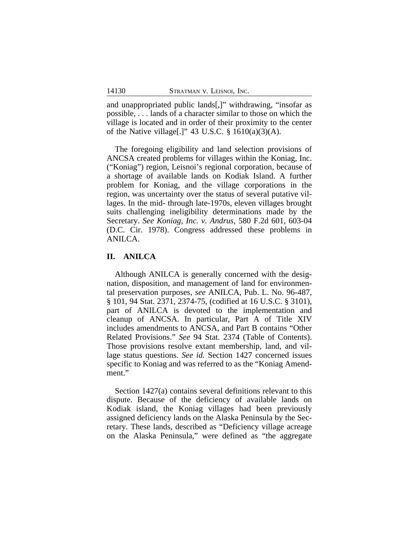and unappropriated public lands[,]" withdrawing, "insofar as possible, . . . lands of a character similar to those on which the village is located and in order of their proximity to the center of the Native village[.]" 43 U.S.C. § 1610(a)(3)(A).

The foregoing eligibility and land selection provisions of ANCSA created problems for villages within the Koniag, Inc. ("Koniag") region, Leisnoi's regional corporation, because of a shortage of available lands on Kodiak Island. A further problem for Koniag, and the village corporations in the region, was uncertainty over the status of several putative villages. In the mid- through late-1970s, eleven villages brought suits challenging ineligibility determinations made by the Secretary. *See Koniag, Inc. v. Andrus*, 580 F.2d 601, 603-04 (D.C. Cir. 1978). Congress addressed these problems in ANILCA.

# **II. ANILCA**

Although ANILCA is generally concerned with the designation, disposition, and management of land for environmental preservation purposes, *see* ANILCA, Pub. L. No. 96-487, § 101, 94 Stat. 2371, 2374-75, (codified at 16 U.S.C. § 3101), part of ANILCA is devoted to the implementation and cleanup of ANCSA. In particular, Part A of Title XIV includes amendments to ANCSA, and Part B contains "Other Related Provisions." *See* 94 Stat. 2374 (Table of Contents). Those provisions resolve extant membership, land, and village status questions. *See id.* Section 1427 concerned issues specific to Koniag and was referred to as the "Koniag Amendment."

Section 1427(a) contains several definitions relevant to this dispute. Because of the deficiency of available lands on Kodiak island, the Koniag villages had been previously assigned deficiency lands on the Alaska Peninsula by the Secretary. These lands, described as "Deficiency village acreage on the Alaska Peninsula," were defined as "the aggregate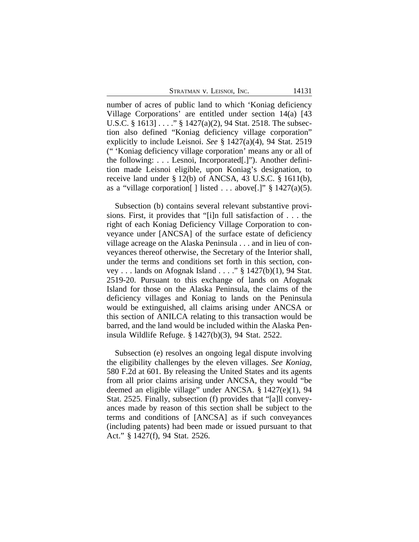number of acres of public land to which 'Koniag deficiency Village Corporations' are entitled under section 14(a) [43 U.S.C. § 1613]  $\ldots$  " § 1427(a)(2), 94 Stat. 2518. The subsection also defined "Koniag deficiency village corporation" explicitly to include Leisnoi. *See* § 1427(a)(4), 94 Stat. 2519 (" 'Koniag deficiency village corporation' means any or all of the following: . . . Lesnoi, Incorporated[.]"). Another definition made Leisnoi eligible, upon Koniag's designation, to receive land under § 12(b) of ANCSA, 43 U.S.C. § 1611(b), as a "village corporation[] listed . . . above[.]"  $\S$  1427(a)(5).

Subsection (b) contains several relevant substantive provisions. First, it provides that "[i]n full satisfaction of . . . the right of each Koniag Deficiency Village Corporation to conveyance under [ANCSA] of the surface estate of deficiency village acreage on the Alaska Peninsula . . . and in lieu of conveyances thereof otherwise, the Secretary of the Interior shall, under the terms and conditions set forth in this section, convey . . . lands on Afognak Island . . . ." § 1427(b)(1), 94 Stat. 2519-20. Pursuant to this exchange of lands on Afognak Island for those on the Alaska Peninsula, the claims of the deficiency villages and Koniag to lands on the Peninsula would be extinguished, all claims arising under ANCSA or this section of ANILCA relating to this transaction would be barred, and the land would be included within the Alaska Peninsula Wildlife Refuge. § 1427(b)(3), 94 Stat. 2522.

Subsection (e) resolves an ongoing legal dispute involving the eligibility challenges by the eleven villages. *See Koniag*, 580 F.2d at 601. By releasing the United States and its agents from all prior claims arising under ANCSA, they would "be deemed an eligible village" under ANCSA. § 1427(e)(1), 94 Stat. 2525. Finally, subsection (f) provides that "[a]ll conveyances made by reason of this section shall be subject to the terms and conditions of [ANCSA] as if such conveyances (including patents) had been made or issued pursuant to that Act." § 1427(f), 94 Stat. 2526.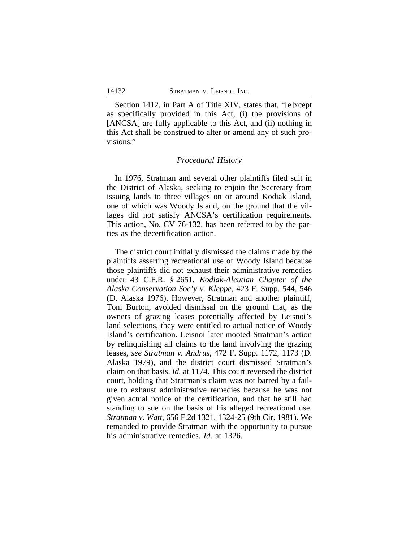Section 1412, in Part A of Title XIV, states that, "[e]xcept as specifically provided in this Act, (i) the provisions of [ANCSA] are fully applicable to this Act, and (ii) nothing in this Act shall be construed to alter or amend any of such provisions."

# *Procedural History*

In 1976, Stratman and several other plaintiffs filed suit in the District of Alaska, seeking to enjoin the Secretary from issuing lands to three villages on or around Kodiak Island, one of which was Woody Island, on the ground that the villages did not satisfy ANCSA's certification requirements. This action, No. CV 76-132, has been referred to by the parties as the decertification action.

The district court initially dismissed the claims made by the plaintiffs asserting recreational use of Woody Island because those plaintiffs did not exhaust their administrative remedies under 43 C.F.R. § 2651. *Kodiak-Aleutian Chapter of the Alaska Conservation Soc'y v. Kleppe*, 423 F. Supp. 544, 546 (D. Alaska 1976). However, Stratman and another plaintiff, Toni Burton, avoided dismissal on the ground that, as the owners of grazing leases potentially affected by Leisnoi's land selections, they were entitled to actual notice of Woody Island's certification. Leisnoi later mooted Stratman's action by relinquishing all claims to the land involving the grazing leases, *see Stratman v. Andrus*, 472 F. Supp. 1172, 1173 (D. Alaska 1979), and the district court dismissed Stratman's claim on that basis. *Id.* at 1174. This court reversed the district court, holding that Stratman's claim was not barred by a failure to exhaust administrative remedies because he was not given actual notice of the certification, and that he still had standing to sue on the basis of his alleged recreational use. *Stratman v. Watt*, 656 F.2d 1321, 1324-25 (9th Cir. 1981). We remanded to provide Stratman with the opportunity to pursue his administrative remedies. *Id.* at 1326.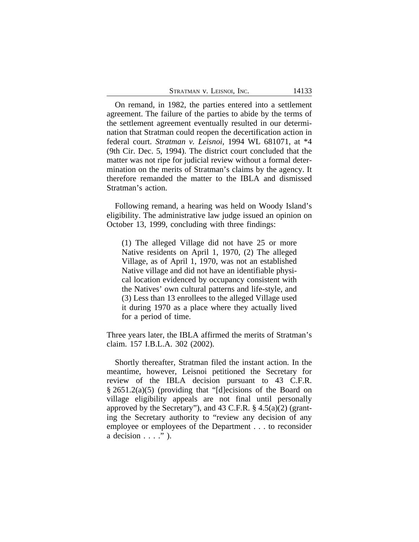| Stratman v. Leisnoi, Inc. |  |  |
|---------------------------|--|--|
|---------------------------|--|--|

On remand, in 1982, the parties entered into a settlement agreement. The failure of the parties to abide by the terms of the settlement agreement eventually resulted in our determination that Stratman could reopen the decertification action in federal court. *Stratman v. Leisnoi*, 1994 WL 681071, at \*4 (9th Cir. Dec. 5, 1994). The district court concluded that the matter was not ripe for judicial review without a formal determination on the merits of Stratman's claims by the agency. It therefore remanded the matter to the IBLA and dismissed Stratman's action.

Following remand, a hearing was held on Woody Island's eligibility. The administrative law judge issued an opinion on October 13, 1999, concluding with three findings:

(1) The alleged Village did not have 25 or more Native residents on April 1, 1970, (2) The alleged Village, as of April 1, 1970, was not an established Native village and did not have an identifiable physical location evidenced by occupancy consistent with the Natives' own cultural patterns and life-style, and (3) Less than 13 enrollees to the alleged Village used it during 1970 as a place where they actually lived for a period of time.

Three years later, the IBLA affirmed the merits of Stratman's claim. 157 I.B.L.A. 302 (2002).

Shortly thereafter, Stratman filed the instant action. In the meantime, however, Leisnoi petitioned the Secretary for review of the IBLA decision pursuant to 43 C.F.R. § 2651.2(a)(5) (providing that "[d]ecisions of the Board on village eligibility appeals are not final until personally approved by the Secretary"), and 43 C.F.R.  $\S$  4.5(a)(2) (granting the Secretary authority to "review any decision of any employee or employees of the Department . . . to reconsider a decision  $\ldots$ ." ).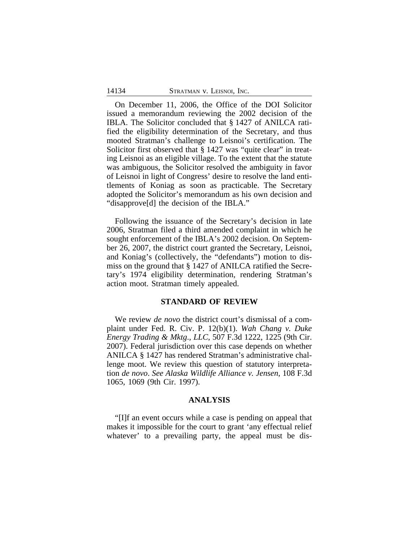On December 11, 2006, the Office of the DOI Solicitor issued a memorandum reviewing the 2002 decision of the IBLA. The Solicitor concluded that § 1427 of ANILCA ratified the eligibility determination of the Secretary, and thus mooted Stratman's challenge to Leisnoi's certification. The Solicitor first observed that § 1427 was "quite clear" in treating Leisnoi as an eligible village. To the extent that the statute was ambiguous, the Solicitor resolved the ambiguity in favor of Leisnoi in light of Congress' desire to resolve the land entitlements of Koniag as soon as practicable. The Secretary adopted the Solicitor's memorandum as his own decision and "disapprove[d] the decision of the IBLA."

Following the issuance of the Secretary's decision in late 2006, Stratman filed a third amended complaint in which he sought enforcement of the IBLA's 2002 decision. On September 26, 2007, the district court granted the Secretary, Leisnoi, and Koniag's (collectively, the "defendants") motion to dismiss on the ground that § 1427 of ANILCA ratified the Secretary's 1974 eligibility determination, rendering Stratman's action moot. Stratman timely appealed.

# **STANDARD OF REVIEW**

We review *de novo* the district court's dismissal of a complaint under Fed. R. Civ. P. 12(b)(1). *Wah Chang v. Duke Energy Trading & Mktg*.*, LLC*, 507 F.3d 1222, 1225 (9th Cir. 2007). Federal jurisdiction over this case depends on whether ANILCA § 1427 has rendered Stratman's administrative challenge moot. We review this question of statutory interpretation *de novo*. *See Alaska Wildlife Alliance v. Jensen*, 108 F.3d 1065, 1069 (9th Cir. 1997).

# **ANALYSIS**

"[I]f an event occurs while a case is pending on appeal that makes it impossible for the court to grant 'any effectual relief whatever' to a prevailing party, the appeal must be dis-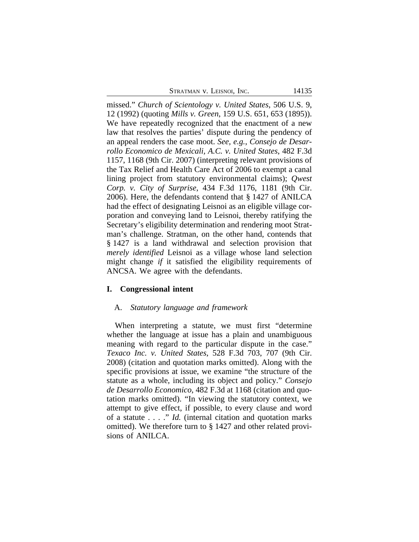missed." *Church of Scientology v. United States*, 506 U.S. 9, 12 (1992) (quoting *Mills v. Green*, 159 U.S. 651, 653 (1895)). We have repeatedly recognized that the enactment of a new law that resolves the parties' dispute during the pendency of an appeal renders the case moot. *See, e.g.*, *Consejo de Desarrollo Economico de Mexicali, A.C. v. United States*, 482 F.3d 1157, 1168 (9th Cir. 2007) (interpreting relevant provisions of the Tax Relief and Health Care Act of 2006 to exempt a canal lining project from statutory environmental claims); *Qwest Corp. v. City of Surprise*, 434 F.3d 1176, 1181 (9th Cir. 2006). Here, the defendants contend that § 1427 of ANILCA had the effect of designating Leisnoi as an eligible village corporation and conveying land to Leisnoi, thereby ratifying the Secretary's eligibility determination and rendering moot Stratman's challenge. Stratman, on the other hand, contends that § 1427 is a land withdrawal and selection provision that *merely identified* Leisnoi as a village whose land selection might change *if* it satisfied the eligibility requirements of ANCSA. We agree with the defendants.

# **I. Congressional intent**

# A. *Statutory language and framework*

When interpreting a statute, we must first "determine whether the language at issue has a plain and unambiguous meaning with regard to the particular dispute in the case." *Texaco Inc. v. United States*, 528 F.3d 703, 707 (9th Cir. 2008) (citation and quotation marks omitted). Along with the specific provisions at issue, we examine "the structure of the statute as a whole, including its object and policy." *Consejo de Desarrollo Economico*, 482 F.3d at 1168 (citation and quotation marks omitted). "In viewing the statutory context, we attempt to give effect, if possible, to every clause and word of a statute . . . ." *Id.* (internal citation and quotation marks omitted). We therefore turn to § 1427 and other related provisions of ANILCA.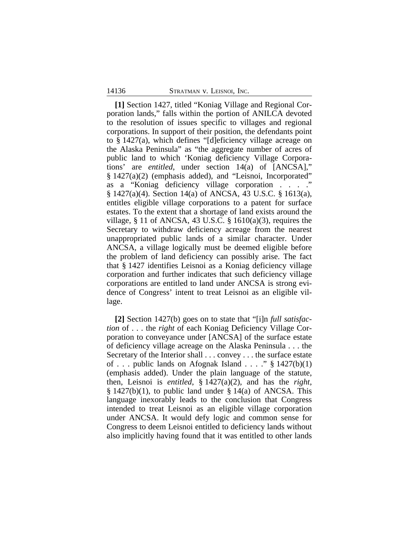**[1]** Section 1427, titled "Koniag Village and Regional Corporation lands," falls within the portion of ANILCA devoted to the resolution of issues specific to villages and regional corporations. In support of their position, the defendants point to § 1427(a), which defines "[d]eficiency village acreage on the Alaska Peninsula" as "the aggregate number of acres of public land to which 'Koniag deficiency Village Corporations' are *entitled*, under section 14(a) of [ANCSA]," § 1427(a)(2) (emphasis added), and "Leisnoi, Incorporated" as a "Koniag deficiency village corporation . . . ." § 1427(a)(4). Section 14(a) of ANCSA, 43 U.S.C. § 1613(a), entitles eligible village corporations to a patent for surface estates. To the extent that a shortage of land exists around the village,  $\S 11$  of ANCSA, 43 U.S.C.  $\S 1610(a)(3)$ , requires the Secretary to withdraw deficiency acreage from the nearest unappropriated public lands of a similar character. Under ANCSA, a village logically must be deemed eligible before the problem of land deficiency can possibly arise. The fact that § 1427 identifies Leisnoi as a Koniag deficiency village corporation and further indicates that such deficiency village corporations are entitled to land under ANCSA is strong evidence of Congress' intent to treat Leisnoi as an eligible village.

**[2]** Section 1427(b) goes on to state that "[i]n *full satisfaction* of . . . the *right* of each Koniag Deficiency Village Corporation to conveyance under [ANCSA] of the surface estate of deficiency village acreage on the Alaska Peninsula . . . the Secretary of the Interior shall . . . convey . . . the surface estate of . . . public lands on Afognak Island . . . ."  $\S$  1427(b)(1) (emphasis added). Under the plain language of the statute, then, Leisnoi is *entitled*, § 1427(a)(2), and has the *right*,  $§ 1427(b)(1)$ , to public land under  $§ 14(a)$  of ANCSA. This language inexorably leads to the conclusion that Congress intended to treat Leisnoi as an eligible village corporation under ANCSA. It would defy logic and common sense for Congress to deem Leisnoi entitled to deficiency lands without also implicitly having found that it was entitled to other lands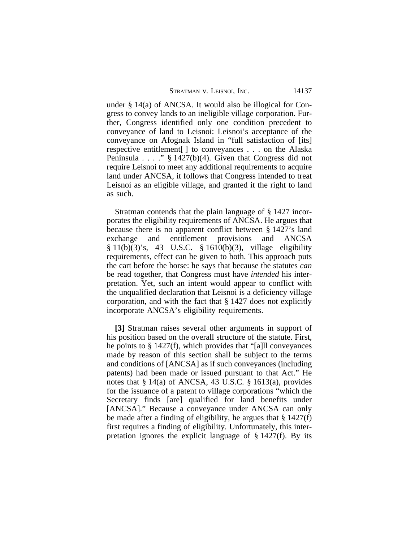under § 14(a) of ANCSA. It would also be illogical for Congress to convey lands to an ineligible village corporation. Further, Congress identified only one condition precedent to conveyance of land to Leisnoi: Leisnoi's acceptance of the conveyance on Afognak Island in "full satisfaction of [its] respective entitlement[ ] to conveyances . . . on the Alaska Peninsula . . . ." § 1427(b)(4). Given that Congress did not require Leisnoi to meet any additional requirements to acquire land under ANCSA, it follows that Congress intended to treat Leisnoi as an eligible village, and granted it the right to land as such.

Stratman contends that the plain language of § 1427 incorporates the eligibility requirements of ANCSA. He argues that because there is no apparent conflict between § 1427's land exchange and entitlement provisions and ANCSA § 11(b)(3)'s, 43 U.S.C. § 1610(b)(3), village eligibility requirements, effect can be given to both. This approach puts the cart before the horse: he says that because the statutes *can* be read together, that Congress must have *intended* his interpretation. Yet, such an intent would appear to conflict with the unqualified declaration that Leisnoi is a deficiency village corporation, and with the fact that § 1427 does not explicitly incorporate ANCSA's eligibility requirements.

**[3]** Stratman raises several other arguments in support of his position based on the overall structure of the statute. First, he points to § 1427(f), which provides that "[a]ll conveyances made by reason of this section shall be subject to the terms and conditions of [ANCSA] as if such conveyances (including patents) had been made or issued pursuant to that Act." He notes that § 14(a) of ANCSA, 43 U.S.C. § 1613(a), provides for the issuance of a patent to village corporations "which the Secretary finds [are] qualified for land benefits under [ANCSA]." Because a conveyance under ANCSA can only be made after a finding of eligibility, he argues that  $\S 1427(f)$ first requires a finding of eligibility. Unfortunately, this interpretation ignores the explicit language of § 1427(f). By its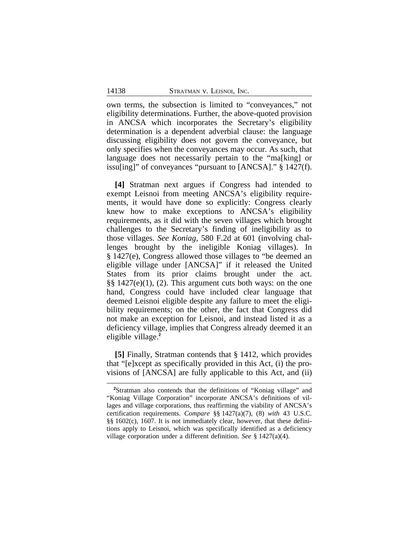own terms, the subsection is limited to "conveyances," not eligibility determinations. Further, the above-quoted provision in ANCSA which incorporates the Secretary's eligibility determination is a dependent adverbial clause: the language discussing eligibility does not govern the conveyance, but only specifies when the conveyances may occur. As such, that language does not necessarily pertain to the "ma[king] or issu[ing]" of conveyances "pursuant to [ANCSA]." § 1427(f).

**[4]** Stratman next argues if Congress had intended to exempt Leisnoi from meeting ANCSA's eligibility requirements, it would have done so explicitly: Congress clearly knew how to make exceptions to ANCSA's eligibility requirements, as it did with the seven villages which brought challenges to the Secretary's finding of ineligibility as to those villages. *See Koniag*, 580 F.2d at 601 (involving challenges brought by the ineligible Koniag villages). In § 1427(e), Congress allowed those villages to "be deemed an eligible village under [ANCSA]" if it released the United States from its prior claims brought under the act. §§ 1427(e)(1), (2). This argument cuts both ways: on the one hand, Congress could have included clear language that deemed Leisnoi eligible despite any failure to meet the eligibility requirements; on the other, the fact that Congress did not make an exception for Leisnoi, and instead listed it as a deficiency village, implies that Congress already deemed it an eligible village.**<sup>2</sup>**

**[5]** Finally, Stratman contends that § 1412, which provides that "[e]xcept as specifically provided in this Act, (i) the provisions of [ANCSA] are fully applicable to this Act, and (ii)

**<sup>2</sup>**Stratman also contends that the definitions of "Koniag village" and "Koniag Village Corporation" incorporate ANCSA's definitions of villages and village corporations, thus reaffirming the viability of ANCSA's certification requirements. *Compare* §§ 1427(a)(7), (8) *with* 43 U.S.C. §§ 1602(c), 1607. It is not immediately clear, however, that these definitions apply to Leisnoi, which was specifically identified as a deficiency village corporation under a different definition. *See* § 1427(a)(4).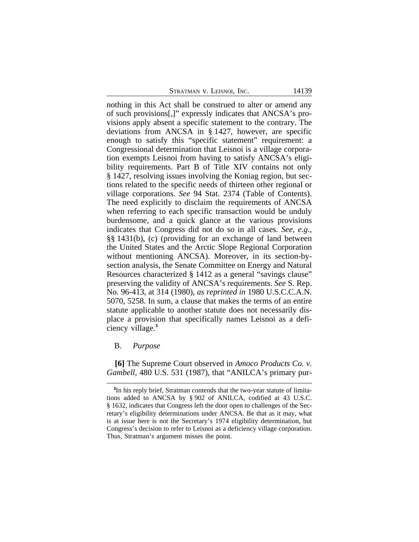nothing in this Act shall be construed to alter or amend any of such provisions[,]" expressly indicates that ANCSA's provisions apply absent a specific statement to the contrary. The deviations from ANCSA in § 1427, however, are specific enough to satisfy this "specific statement" requirement: a Congressional determination that Leisnoi is a village corporation exempts Leisnoi from having to satisfy ANCSA's eligibility requirements. Part B of Title XIV contains not only § 1427, resolving issues involving the Koniag region, but sections related to the specific needs of thirteen other regional or village corporations. *See* 94 Stat. 2374 (Table of Contents). The need explicitly to disclaim the requirements of ANCSA when referring to each specific transaction would be unduly burdensome, and a quick glance at the various provisions indicates that Congress did not do so in all cases. *See, e.g.*, §§ 1431(b), (c) (providing for an exchange of land between the United States and the Arctic Slope Regional Corporation without mentioning ANCSA). Moreover, in its section-bysection analysis, the Senate Committee on Energy and Natural Resources characterized § 1412 as a general "savings clause" preserving the validity of ANCSA's requirements. *See* S. Rep. No. 96-413, at 314 (1980), *as reprinted in* 1980 U.S.C.C.A.N. 5070, 5258. In sum, a clause that makes the terms of an entire statute applicable to another statute does not necessarily displace a provision that specifically names Leisnoi as a deficiency village.**<sup>3</sup>**

# B. *Purpose*

**[6]** The Supreme Court observed in *Amoco Products Co. v. Gambell,* 480 U.S. 531 (1987), that "ANILCA's primary pur-

**<sup>3</sup>** In his reply brief, Stratman contends that the two-year statute of limitations added to ANCSA by § 902 of ANILCA, codified at 43 U.S.C. § 1632, indicates that Congress left the door open to challenges of the Secretary's eligibility determinations under ANCSA. Be that as it may, what is at issue here is not the Secretary's 1974 eligibility determination, but Congress's decision to refer to Leisnoi as a deficiency village corporation. Thus, Stratman's argument misses the point.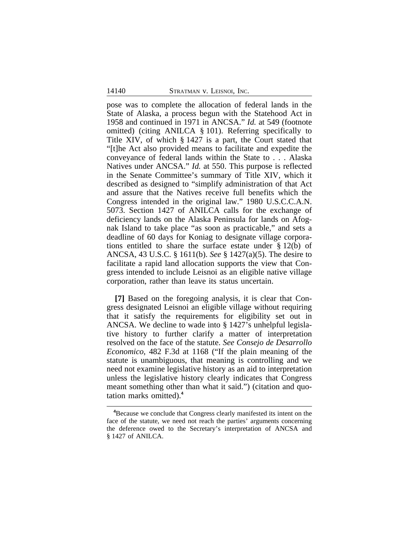pose was to complete the allocation of federal lands in the State of Alaska, a process begun with the Statehood Act in 1958 and continued in 1971 in ANCSA." *Id.* at 549 (footnote omitted) (citing ANILCA § 101). Referring specifically to Title XIV, of which § 1427 is a part, the Court stated that "[t]he Act also provided means to facilitate and expedite the conveyance of federal lands within the State to . . . Alaska Natives under ANCSA." *Id.* at 550. This purpose is reflected in the Senate Committee's summary of Title XIV, which it described as designed to "simplify administration of that Act and assure that the Natives receive full benefits which the Congress intended in the original law." 1980 U.S.C.C.A.N. 5073. Section 1427 of ANILCA calls for the exchange of deficiency lands on the Alaska Peninsula for lands on Afognak Island to take place "as soon as practicable," and sets a deadline of 60 days for Koniag to designate village corporations entitled to share the surface estate under § 12(b) of ANCSA, 43 U.S.C. § 1611(b). *See* § 1427(a)(5). The desire to facilitate a rapid land allocation supports the view that Congress intended to include Leisnoi as an eligible native village corporation, rather than leave its status uncertain.

**[7]** Based on the foregoing analysis, it is clear that Congress designated Leisnoi an eligible village without requiring that it satisfy the requirements for eligibility set out in ANCSA. We decline to wade into § 1427's unhelpful legislative history to further clarify a matter of interpretation resolved on the face of the statute. *See Consejo de Desarrollo Economico*, 482 F.3d at 1168 ("If the plain meaning of the statute is unambiguous, that meaning is controlling and we need not examine legislative history as an aid to interpretation unless the legislative history clearly indicates that Congress meant something other than what it said.") (citation and quotation marks omitted).**<sup>4</sup>**

**<sup>4</sup>**Because we conclude that Congress clearly manifested its intent on the face of the statute, we need not reach the parties' arguments concerning the deference owed to the Secretary's interpretation of ANCSA and § 1427 of ANILCA.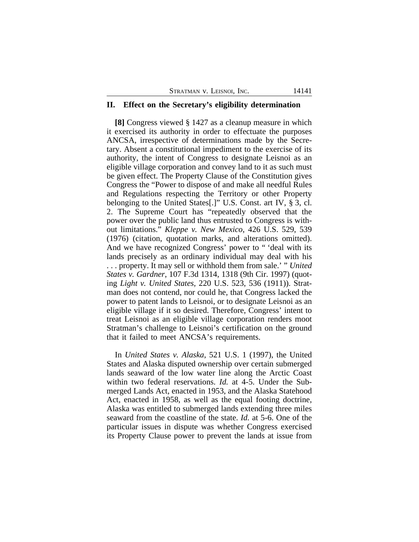## **II. Effect on the Secretary's eligibility determination**

**[8]** Congress viewed § 1427 as a cleanup measure in which it exercised its authority in order to effectuate the purposes ANCSA, irrespective of determinations made by the Secretary. Absent a constitutional impediment to the exercise of its authority, the intent of Congress to designate Leisnoi as an eligible village corporation and convey land to it as such must be given effect. The Property Clause of the Constitution gives Congress the "Power to dispose of and make all needful Rules and Regulations respecting the Territory or other Property belonging to the United States[.]" U.S. Const. art IV, § 3, cl. 2. The Supreme Court has "repeatedly observed that the power over the public land thus entrusted to Congress is without limitations." *Kleppe v. New Mexico*, 426 U.S. 529, 539 (1976) (citation, quotation marks, and alterations omitted). And we have recognized Congress' power to " 'deal with its lands precisely as an ordinary individual may deal with his . . . property. It may sell or withhold them from sale.' " *United States v. Gardner*, 107 F.3d 1314, 1318 (9th Cir. 1997) (quoting *Light v. United States,* 220 U.S. 523, 536 (1911)). Stratman does not contend, nor could he, that Congress lacked the power to patent lands to Leisnoi, or to designate Leisnoi as an eligible village if it so desired. Therefore, Congress' intent to treat Leisnoi as an eligible village corporation renders moot Stratman's challenge to Leisnoi's certification on the ground that it failed to meet ANCSA's requirements.

In *United States v. Alaska*, 521 U.S. 1 (1997), the United States and Alaska disputed ownership over certain submerged lands seaward of the low water line along the Arctic Coast within two federal reservations. *Id.* at 4-5. Under the Submerged Lands Act, enacted in 1953, and the Alaska Statehood Act, enacted in 1958, as well as the equal footing doctrine, Alaska was entitled to submerged lands extending three miles seaward from the coastline of the state. *Id.* at 5-6. One of the particular issues in dispute was whether Congress exercised its Property Clause power to prevent the lands at issue from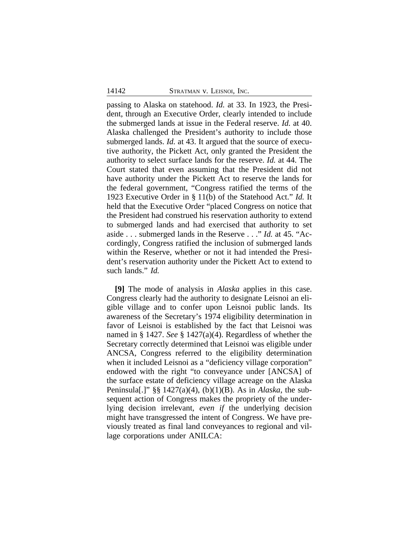passing to Alaska on statehood. *Id.* at 33. In 1923, the President, through an Executive Order, clearly intended to include the submerged lands at issue in the Federal reserve. *Id.* at 40. Alaska challenged the President's authority to include those submerged lands. *Id.* at 43. It argued that the source of executive authority, the Pickett Act, only granted the President the authority to select surface lands for the reserve. *Id.* at 44. The Court stated that even assuming that the President did not have authority under the Pickett Act to reserve the lands for the federal government, "Congress ratified the terms of the 1923 Executive Order in § 11(b) of the Statehood Act." *Id.* It held that the Executive Order "placed Congress on notice that the President had construed his reservation authority to extend to submerged lands and had exercised that authority to set aside . . . submerged lands in the Reserve . . ." *Id.* at 45. "Accordingly, Congress ratified the inclusion of submerged lands within the Reserve, whether or not it had intended the President's reservation authority under the Pickett Act to extend to such lands." *Id.*

**[9]** The mode of analysis in *Alaska* applies in this case. Congress clearly had the authority to designate Leisnoi an eligible village and to confer upon Leisnoi public lands. Its awareness of the Secretary's 1974 eligibility determination in favor of Leisnoi is established by the fact that Leisnoi was named in § 1427. *See* § 1427(a)(4). Regardless of whether the Secretary correctly determined that Leisnoi was eligible under ANCSA, Congress referred to the eligibility determination when it included Leisnoi as a "deficiency village corporation" endowed with the right "to conveyance under [ANCSA] of the surface estate of deficiency village acreage on the Alaska Peninsula[.]" §§ 1427(a)(4), (b)(1)(B). As in *Alaska*, the subsequent action of Congress makes the propriety of the underlying decision irrelevant, *even if* the underlying decision might have transgressed the intent of Congress. We have previously treated as final land conveyances to regional and village corporations under ANILCA: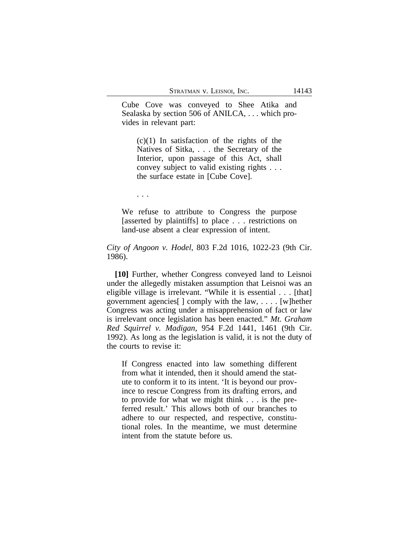Cube Cove was conveyed to Shee Atika and Sealaska by section 506 of ANILCA, . . . which provides in relevant part:

 $(c)(1)$  In satisfaction of the rights of the Natives of Sitka, . . . the Secretary of the Interior, upon passage of this Act, shall convey subject to valid existing rights . . . the surface estate in [Cube Cove].

. . .

We refuse to attribute to Congress the purpose [asserted by plaintiffs] to place . . . restrictions on land-use absent a clear expression of intent.

*City of Angoon v. Hodel*, 803 F.2d 1016, 1022-23 (9th Cir. 1986).

**[10]** Further, whether Congress conveyed land to Leisnoi under the allegedly mistaken assumption that Leisnoi was an eligible village is irrelevant. "While it is essential . . . [that] government agencies[ ] comply with the law, . . . . [w]hether Congress was acting under a misapprehension of fact or law is irrelevant once legislation has been enacted." *Mt. Graham Red Squirrel v. Madigan*, 954 F.2d 1441, 1461 (9th Cir. 1992). As long as the legislation is valid, it is not the duty of the courts to revise it:

If Congress enacted into law something different from what it intended, then it should amend the statute to conform it to its intent. 'It is beyond our province to rescue Congress from its drafting errors, and to provide for what we might think . . . is the preferred result.' This allows both of our branches to adhere to our respected, and respective, constitutional roles. In the meantime, we must determine intent from the statute before us.